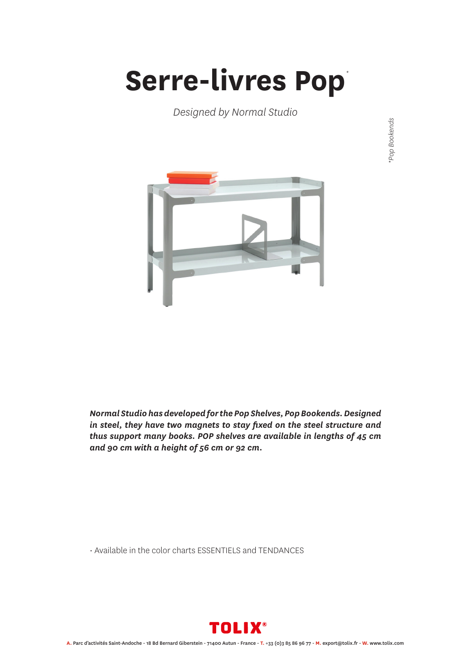## **Serre-livres Pop** *\**

*Designed by Normal Studio*

Pop Bookends *\*Pop Bookends*



*Normal Studio has developed for the Pop Shelves, Pop Bookends. Designed in steel, they have two magnets to stay fixed on the steel structure and thus support many books. POP shelves are available in lengths of 45 cm and 90 cm with a height of 56 cm or 92 cm.*

• Available in the color charts ESSENTIELS and TENDANCES